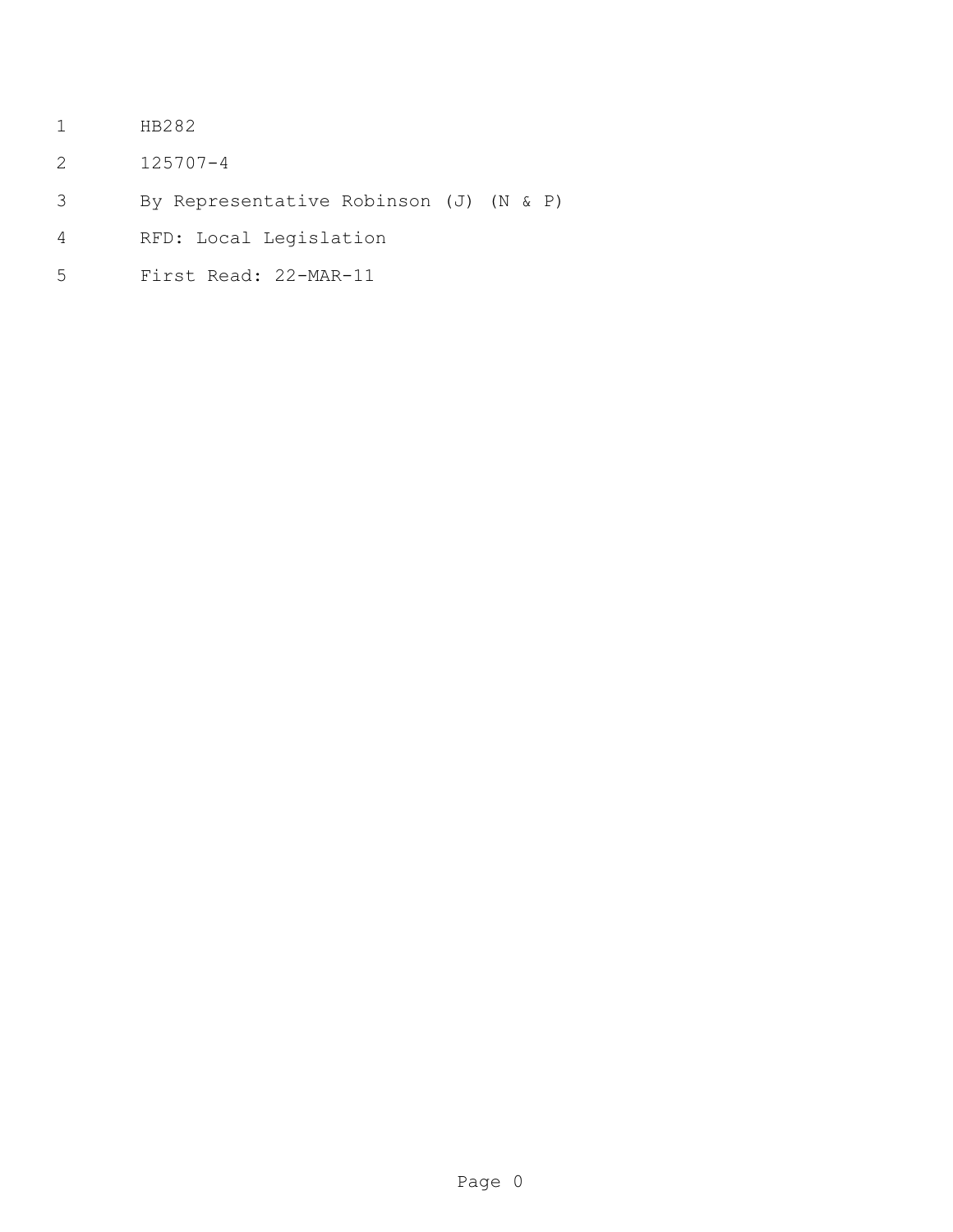- HB282
- 125707-4
- By Representative Robinson (J) (N & P)
- RFD: Local Legislation
- First Read: 22-MAR-11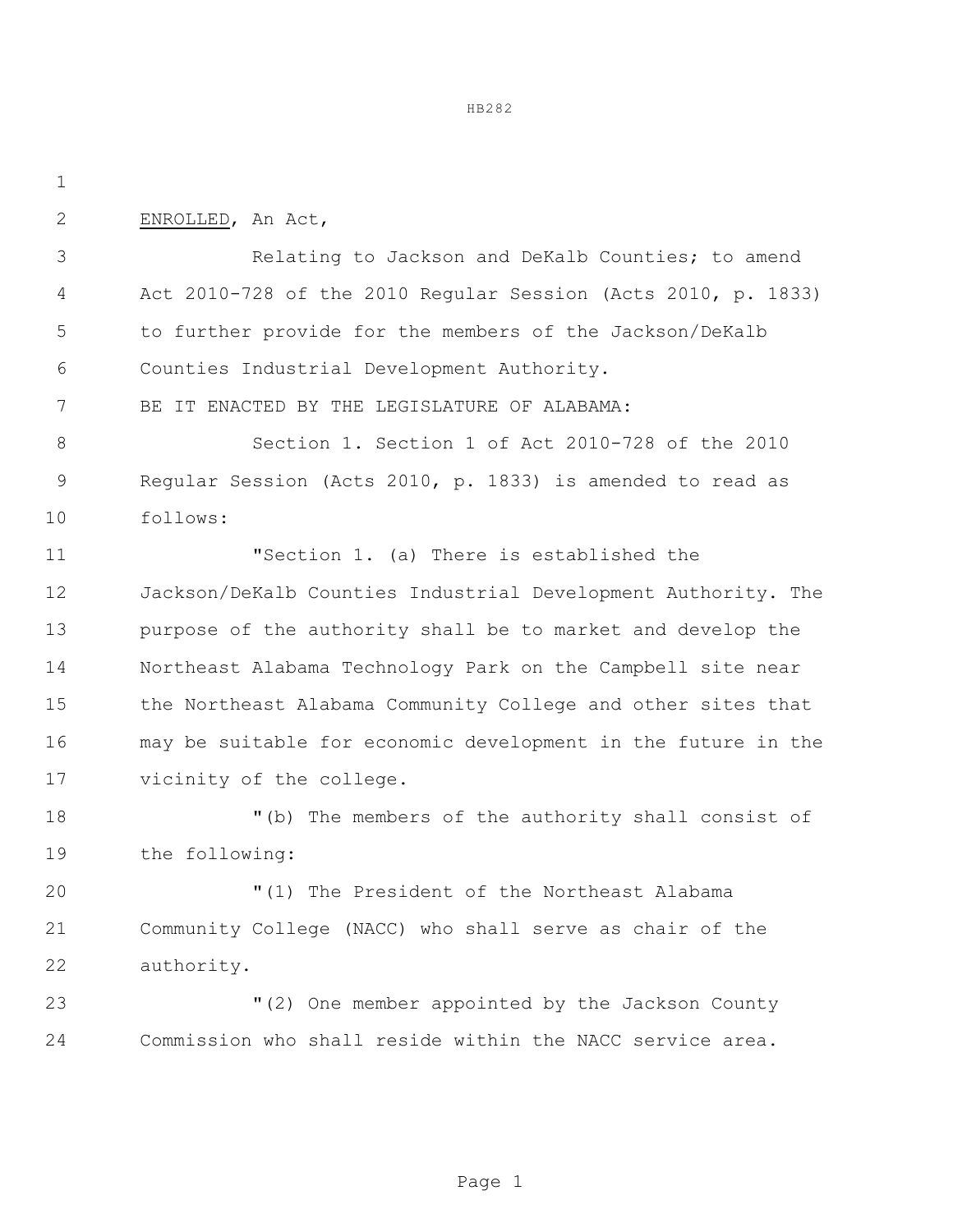HB282

ENROLLED, An Act,

 Relating to Jackson and DeKalb Counties; to amend Act 2010-728 of the 2010 Regular Session (Acts 2010, p. 1833) to further provide for the members of the Jackson/DeKalb Counties Industrial Development Authority.

BE IT ENACTED BY THE LEGISLATURE OF ALABAMA:

 Section 1. Section 1 of Act 2010-728 of the 2010 Regular Session (Acts 2010, p. 1833) is amended to read as follows:

 "Section 1. (a) There is established the Jackson/DeKalb Counties Industrial Development Authority. The purpose of the authority shall be to market and develop the Northeast Alabama Technology Park on the Campbell site near the Northeast Alabama Community College and other sites that may be suitable for economic development in the future in the vicinity of the college.

 "(b) The members of the authority shall consist of the following:

 "(1) The President of the Northeast Alabama Community College (NACC) who shall serve as chair of the authority.

 "(2) One member appointed by the Jackson County Commission who shall reside within the NACC service area.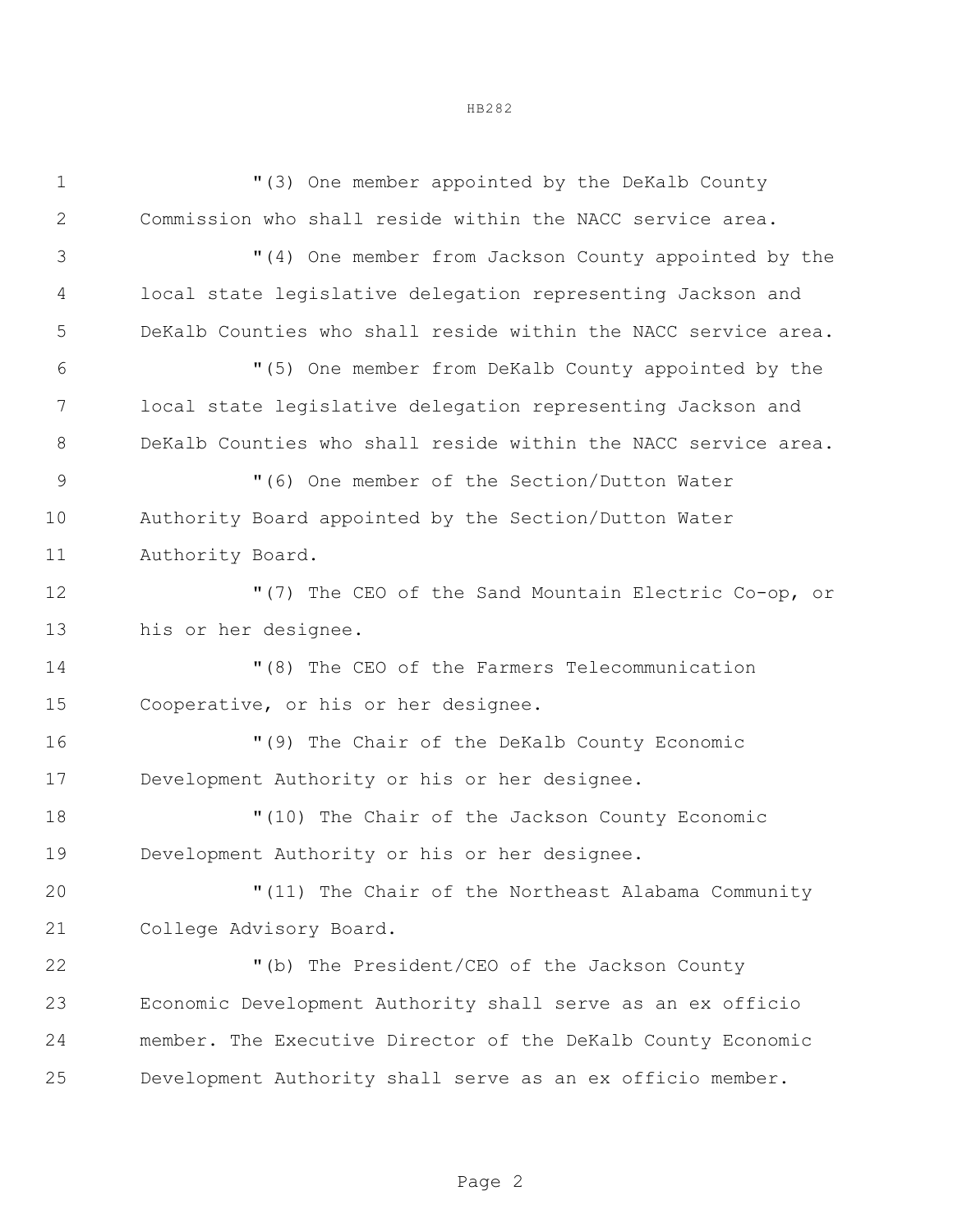HB282

| 1           | "(3) One member appointed by the DeKalb County                 |
|-------------|----------------------------------------------------------------|
| 2           | Commission who shall reside within the NACC service area.      |
| 3           | "(4) One member from Jackson County appointed by the           |
| 4           | local state legislative delegation representing Jackson and    |
| 5           | DeKalb Counties who shall reside within the NACC service area. |
| 6           | "(5) One member from DeKalb County appointed by the            |
| 7           | local state legislative delegation representing Jackson and    |
| $8\,$       | DeKalb Counties who shall reside within the NACC service area. |
| $\mathsf 9$ | "(6) One member of the Section/Dutton Water                    |
| 10          | Authority Board appointed by the Section/Dutton Water          |
| 11          | Authority Board.                                               |
| 12          | "(7) The CEO of the Sand Mountain Electric Co-op, or           |
| 13          | his or her designee.                                           |
| 14          | "(8) The CEO of the Farmers Telecommunication                  |
| 15          | Cooperative, or his or her designee.                           |
| 16          | "(9) The Chair of the DeKalb County Economic                   |
| 17          | Development Authority or his or her designee.                  |
| 18          | "(10) The Chair of the Jackson County Economic                 |
| 19          | Development Authority or his or her designee.                  |
| 20          | "(11) The Chair of the Northeast Alabama Community             |
| 21          | College Advisory Board.                                        |
| 22          | "(b) The President/CEO of the Jackson County                   |
| 23          | Economic Development Authority shall serve as an ex officio    |
| 24          | member. The Executive Director of the DeKalb County Economic   |
| 25          | Development Authority shall serve as an ex officio member.     |
|             |                                                                |

Page 2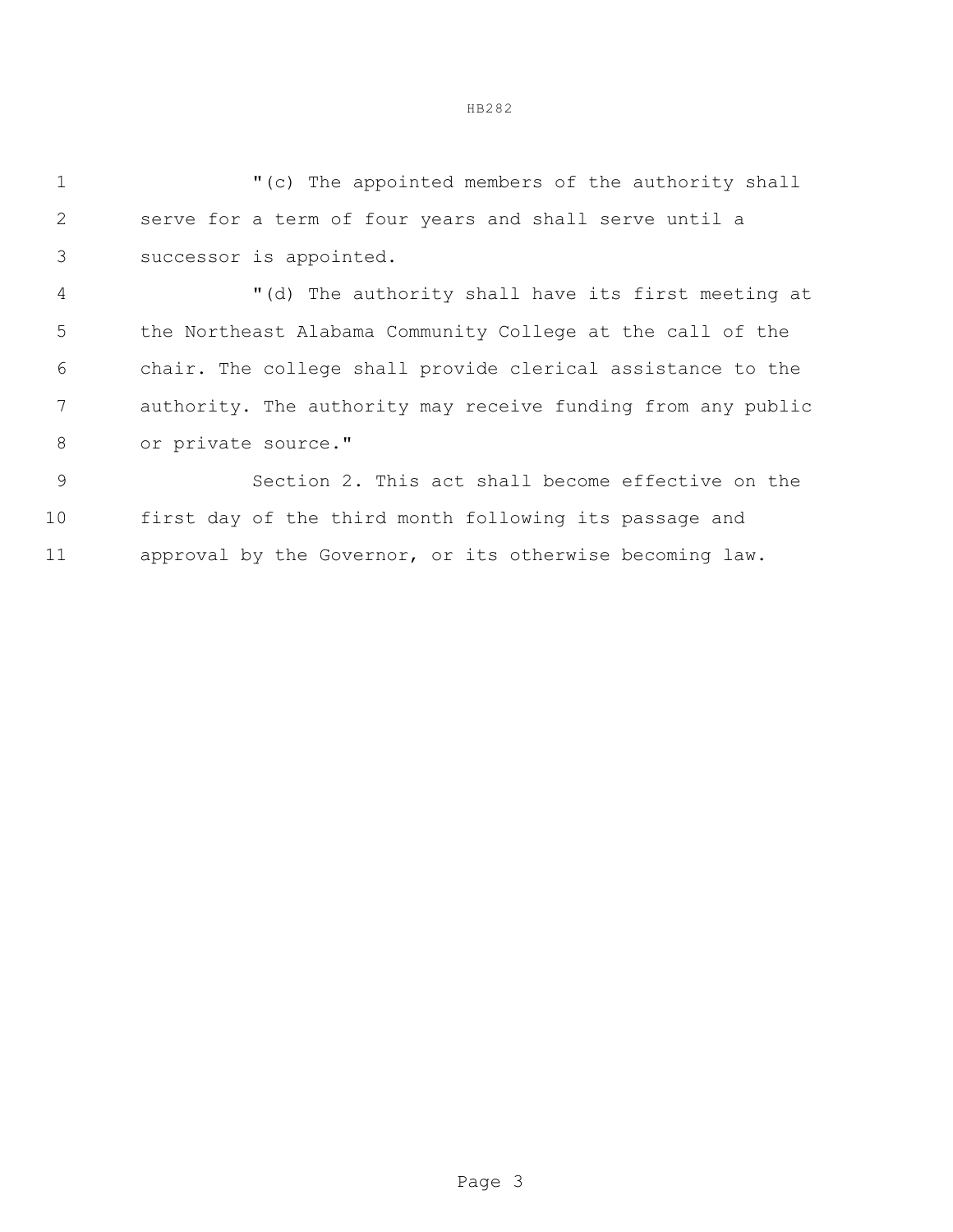1 "(c) The appointed members of the authority shall serve for a term of four years and shall serve until a successor is appointed. "(d) The authority shall have its first meeting at the Northeast Alabama Community College at the call of the chair. The college shall provide clerical assistance to the authority. The authority may receive funding from any public or private source." Section 2. This act shall become effective on the

 first day of the third month following its passage and approval by the Governor, or its otherwise becoming law.